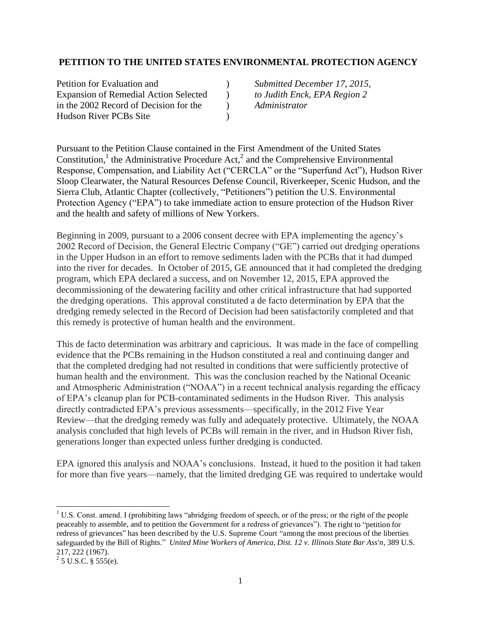### **PETITION TO THE UNITED STATES ENVIRONMENTAL PROTECTION AGENCY**

| Petition for Evaluation and                  |  |
|----------------------------------------------|--|
| <b>Expansion of Remedial Action Selected</b> |  |
| in the 2002 Record of Decision for the       |  |
| <b>Hudson River PCBs Site</b>                |  |

) Submitted December 17, 2015, ) to Judith Enck, EPA Region 2 in the 2002 Record of Decision for the ) *Administrator*

Pursuant to the Petition Clause contained in the First Amendment of the United States Constitution,<sup>1</sup> the Administrative Procedure Act,<sup>2</sup> and the Comprehensive Environmental Response, Compensation, and Liability Act ("CERCLA" or the "Superfund Act"), Hudson River Sloop Clearwater, the Natural Resources Defense Council, Riverkeeper, Scenic Hudson, and the Sierra Club, Atlantic Chapter (collectively, "Petitioners") petition the U.S. Environmental Protection Agency ("EPA") to take immediate action to ensure protection of the Hudson River and the health and safety of millions of New Yorkers.

Beginning in 2009, pursuant to a 2006 consent decree with EPA implementing the agency's 2002 Record of Decision, the General Electric Company ("GE") carried out dredging operations in the Upper Hudson in an effort to remove sediments laden with the PCBs that it had dumped into the river for decades. In October of 2015, GE announced that it had completed the dredging program, which EPA declared a success, and on November 12, 2015, EPA approved the decommissioning of the dewatering facility and other critical infrastructure that had supported the dredging operations. This approval constituted a de facto determination by EPA that the dredging remedy selected in the Record of Decision had been satisfactorily completed and that this remedy is protective of human health and the environment.

This de facto determination was arbitrary and capricious. It was made in the face of compelling evidence that the PCBs remaining in the Hudson constituted a real and continuing danger and that the completed dredging had not resulted in conditions that were sufficiently protective of human health and the environment. This was the conclusion reached by the National Oceanic and Atmospheric Administration ("NOAA") in a recent technical analysis regarding the efficacy of EPA's cleanup plan for PCB-contaminated sediments in the Hudson River. This analysis directly contradicted EPA's previous assessments—specifically, in the 2012 Five Year Review—that the dredging remedy was fully and adequately protective. Ultimately, the NOAA analysis concluded that high levels of PCBs will remain in the river, and in Hudson River fish, generations longer than expected unless further dredging is conducted.

EPA ignored this analysis and NOAA's conclusions. Instead, it hued to the position it had taken for more than five years—namely, that the limited dredging GE was required to undertake would

 $\overline{\phantom{a}}$ 

<sup>&</sup>lt;sup>1</sup> U.S. Const. amend. I (prohibiting laws "abridging freedom of speech, or of the press; or the right of the people peaceably to assemble, and to petition the Government for a redress of grievances"). The right to "petition for redress of grievances" has been described by the U.S. Supreme Court "among the most precious of the liberties safeguarded by the Bill of Rights." *United Mine Workers of America, Dist. 12 v. Illinois State Bar Ass'n*, 389 U.S. 217, 222 (1967).

 $^{2}$  5 U.S.C. § 555(e).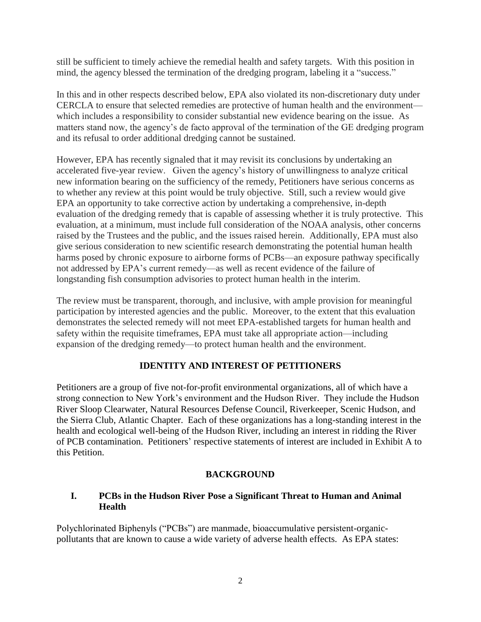still be sufficient to timely achieve the remedial health and safety targets. With this position in mind, the agency blessed the termination of the dredging program, labeling it a "success."

In this and in other respects described below, EPA also violated its non-discretionary duty under CERCLA to ensure that selected remedies are protective of human health and the environment which includes a responsibility to consider substantial new evidence bearing on the issue. As matters stand now, the agency's de facto approval of the termination of the GE dredging program and its refusal to order additional dredging cannot be sustained.

However, EPA has recently signaled that it may revisit its conclusions by undertaking an accelerated five-year review. Given the agency's history of unwillingness to analyze critical new information bearing on the sufficiency of the remedy, Petitioners have serious concerns as to whether any review at this point would be truly objective. Still, such a review would give EPA an opportunity to take corrective action by undertaking a comprehensive, in-depth evaluation of the dredging remedy that is capable of assessing whether it is truly protective. This evaluation, at a minimum, must include full consideration of the NOAA analysis, other concerns raised by the Trustees and the public, and the issues raised herein. Additionally, EPA must also give serious consideration to new scientific research demonstrating the potential human health harms posed by chronic exposure to airborne forms of PCBs—an exposure pathway specifically not addressed by EPA's current remedy—as well as recent evidence of the failure of longstanding fish consumption advisories to protect human health in the interim.

The review must be transparent, thorough, and inclusive, with ample provision for meaningful participation by interested agencies and the public. Moreover, to the extent that this evaluation demonstrates the selected remedy will not meet EPA-established targets for human health and safety within the requisite timeframes, EPA must take all appropriate action—including expansion of the dredging remedy—to protect human health and the environment.

# **IDENTITY AND INTEREST OF PETITIONERS**

Petitioners are a group of five not-for-profit environmental organizations, all of which have a strong connection to New York's environment and the Hudson River. They include the Hudson River Sloop Clearwater, Natural Resources Defense Council, Riverkeeper, Scenic Hudson, and the Sierra Club, Atlantic Chapter. Each of these organizations has a long-standing interest in the health and ecological well-being of the Hudson River, including an interest in ridding the River of PCB contamination. Petitioners' respective statements of interest are included in Exhibit A to this Petition.

# **BACKGROUND**

## **I. PCBs in the Hudson River Pose a Significant Threat to Human and Animal Health**

Polychlorinated Biphenyls ("PCBs") are manmade, bioaccumulative persistent-organicpollutants that are known to cause a wide variety of adverse health effects. As EPA states: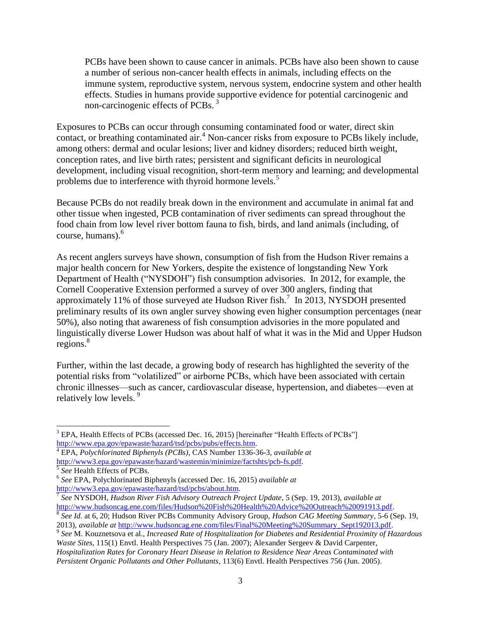PCBs have been shown to cause cancer in animals. PCBs have also been shown to cause a number of serious non-cancer health effects in animals, including effects on the immune system, reproductive system, nervous system, endocrine system and other health effects. Studies in humans provide supportive evidence for potential carcinogenic and non-carcinogenic effects of PCBs.<sup>3</sup>

Exposures to PCBs can occur through consuming contaminated food or water, direct skin contact, or breathing contaminated air.<sup>4</sup> Non-cancer risks from exposure to PCBs likely include, among others: dermal and ocular lesions; liver and kidney disorders; reduced birth weight, conception rates, and live birth rates; persistent and significant deficits in neurological development, including visual recognition, short-term memory and learning; and developmental problems due to interference with thyroid hormone levels.<sup>5</sup>

Because PCBs do not readily break down in the environment and accumulate in animal fat and other tissue when ingested, PCB contamination of river sediments can spread throughout the food chain from low level river bottom fauna to fish, birds, and land animals (including, of course, humans).<sup>6</sup>

As recent anglers surveys have shown, consumption of fish from the Hudson River remains a major health concern for New Yorkers, despite the existence of longstanding New York Department of Health ("NYSDOH") fish consumption advisories. In 2012, for example, the Cornell Cooperative Extension performed a survey of over 300 anglers, finding that approximately 11% of those surveyed ate Hudson River fish.<sup>7</sup> In 2013, NYSDOH presented preliminary results of its own angler survey showing even higher consumption percentages (near 50%), also noting that awareness of fish consumption advisories in the more populated and linguistically diverse Lower Hudson was about half of what it was in the Mid and Upper Hudson regions. 8

Further, within the last decade, a growing body of research has highlighted the severity of the potential risks from "volatilized" or airborne PCBs, which have been associated with certain chronic illnesses—such as cancer, cardiovascular disease, hypertension, and diabetes—even at relatively low levels.<sup>9</sup>

<sup>4</sup> EPA, *Polychlorinated Biphenyls (PCBs)*, CAS Number 1336-36-3, *available at* [http://www3.epa.gov/epawaste/hazard/wastemin/minimize/factshts/pcb-fs.pdf.](http://www3.epa.gov/epawaste/hazard/wastemin/minimize/factshts/pcb-fs.pdf)

l

<sup>&</sup>lt;sup>3</sup> EPA, Health Effects of PCBs (accessed Dec. 16, 2015) [hereinafter "Health Effects of PCBs"] [http://www.epa.gov/epawaste/hazard/tsd/pcbs/pubs/effects.htm.](http://www.epa.gov/epawaste/hazard/tsd/pcbs/pubs/effects.htm)

<sup>5</sup> *See* Health Effects of PCBs.

<sup>6</sup> *See* EPA, Polychlorinated Biphenyls (accessed Dec. 16, 2015) *available at*  [http://www3.epa.gov/epawaste/hazard/tsd/pcbs/about.htm.](http://www3.epa.gov/epawaste/hazard/tsd/pcbs/about.htm)

<sup>7</sup> *See* NYSDOH, *Hudson River Fish Advisory Outreach Project Update*, 5 (Sep. 19, 2013), *available at* [http://www.hudsoncag.ene.com/files/Hudson%20Fish%20Health%20Advice%20Outreach%20091913.pdf.](http://www.hudsoncag.ene.com/files/Hudson%20Fish%20Health%20Advice%20Outreach%20091913.pdf)

<sup>8</sup> *See Id.* at 6, 20; Hudson River PCBs Community Advisory Group, *Hudson CAG Meeting Summary*, 5-6 (Sep. 19, 2013), *available at* [http://www.hudsoncag.ene.com/files/Final%20Meeting%20Summary\\_Sept192013.pdf.](http://www.hudsoncag.ene.com/files/Final%20Meeting%20Summary_Sept192013.pdf)

<sup>9</sup> *See* M. Kouznetsova et al., *Increased Rate of Hospitalization for Diabetes and Residential Proximity of Hazardous Waste Sites*, 115(1) Envtl. Health Perspectives 75 (Jan. 2007); Alexander Sergeev & David Carpenter, *Hospitalization Rates for Coronary Heart Disease in Relation to Residence Near Areas Contaminated with Persistent Organic Pollutants and Other Pollutants*, 113(6) Envtl. Health Perspectives 756 (Jun. 2005).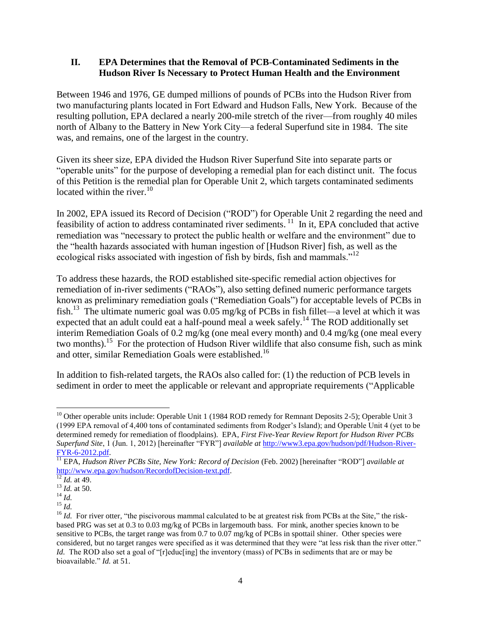### **II. EPA Determines that the Removal of PCB-Contaminated Sediments in the Hudson River Is Necessary to Protect Human Health and the Environment**

Between 1946 and 1976, GE dumped millions of pounds of PCBs into the Hudson River from two manufacturing plants located in Fort Edward and Hudson Falls, New York. Because of the resulting pollution, EPA declared a nearly 200-mile stretch of the river—from roughly 40 miles north of Albany to the Battery in New York City—a federal Superfund site in 1984. The site was, and remains, one of the largest in the country.

Given its sheer size, EPA divided the Hudson River Superfund Site into separate parts or "operable units" for the purpose of developing a remedial plan for each distinct unit. The focus of this Petition is the remedial plan for Operable Unit 2, which targets contaminated sediments located within the river. $10$ 

In 2002, EPA issued its Record of Decision ("ROD") for Operable Unit 2 regarding the need and feasibility of action to address contaminated river sediments.<sup>11</sup> In it, EPA concluded that active remediation was "necessary to protect the public health or welfare and the environment" due to the "health hazards associated with human ingestion of [Hudson River] fish, as well as the ecological risks associated with ingestion of fish by birds, fish and mammals."<sup>12</sup>

To address these hazards, the ROD established site-specific remedial action objectives for remediation of in-river sediments ("RAOs"), also setting defined numeric performance targets known as preliminary remediation goals ("Remediation Goals") for acceptable levels of PCBs in fish.<sup>13</sup> The ultimate numeric goal was  $0.05$  mg/kg of PCBs in fish fillet—a level at which it was expected that an adult could eat a half-pound meal a week safely.<sup>14</sup> The ROD additionally set interim Remediation Goals of 0.2 mg/kg (one meal every month) and 0.4 mg/kg (one meal every two months). <sup>15</sup> For the protection of Hudson River wildlife that also consume fish, such as mink and otter, similar Remediation Goals were established. 16

In addition to fish-related targets, the RAOs also called for: (1) the reduction of PCB levels in sediment in order to meet the applicable or relevant and appropriate requirements ("Applicable

l <sup>10</sup> Other operable units include: Operable Unit 1 (1984 ROD remedy for Remnant Deposits 2-5); Operable Unit 3 (1999 EPA removal of 4,400 tons of contaminated sediments from Rodger's Island); and Operable Unit 4 (yet to be determined remedy for remediation of floodplains). EPA, *First Five-Year Review Report for Hudson River PCBs Superfund Site*, 1 (Jun. 1, 2012) [hereinafter "FYR"] *available at* [http://www3.epa.gov/hudson/pdf/Hudson-River-](http://www3.epa.gov/hudson/pdf/Hudson-River-FYR-6-2012.pdf)[FYR-6-2012.pdf.](http://www3.epa.gov/hudson/pdf/Hudson-River-FYR-6-2012.pdf)

<sup>11</sup> EPA, *Hudson River PCBs Site, New York: Record of Decision* (Feb. 2002) [hereinafter "ROD"] *available at*  [http://www.epa.gov/hudson/RecordofDecision-text.pdf.](http://www.epa.gov/hudson/RecordofDecision-text.pdf)

 $\overline{^{12}$  *Id.* at 49.

 $^{13}$  *Id.* at 50.

<sup>14</sup> *Id.*  $^{15}$  *Id.* 

<sup>&</sup>lt;sup>16</sup> *Id.* For river otter, "the piscivorous mammal calculated to be at greatest risk from PCBs at the Site," the riskbased PRG was set at 0.3 to 0.03 mg/kg of PCBs in largemouth bass. For mink, another species known to be sensitive to PCBs, the target range was from 0.7 to 0.07 mg/kg of PCBs in spottail shiner. Other species were considered, but no target ranges were specified as it was determined that they were "at less risk than the river otter." *Id.* The ROD also set a goal of "[r]educ[ing] the inventory (mass) of PCBs in sediments that are or may be bioavailable." *Id.* at 51.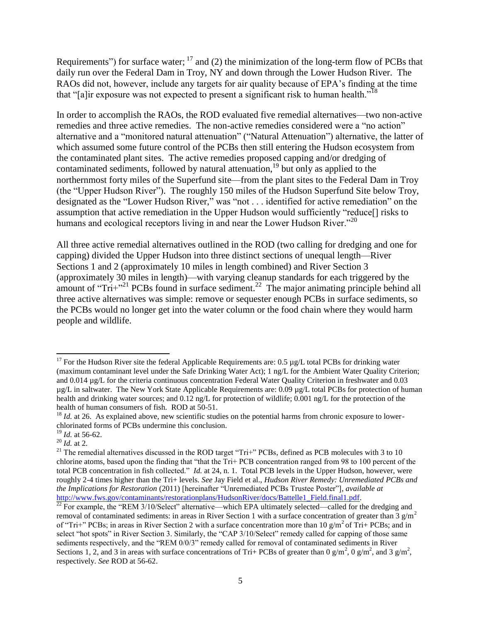Requirements") for surface water;  $^{17}$  and (2) the minimization of the long-term flow of PCBs that daily run over the Federal Dam in Troy, NY and down through the Lower Hudson River. The RAOs did not, however, include any targets for air quality because of EPA's finding at the time that "[a]ir exposure was not expected to present a significant risk to human health."<sup>18</sup>

In order to accomplish the RAOs, the ROD evaluated five remedial alternatives—two non-active remedies and three active remedies. The non-active remedies considered were a "no action" alternative and a "monitored natural attenuation" ("Natural Attenuation") alternative, the latter of which assumed some future control of the PCBs then still entering the Hudson ecosystem from the contaminated plant sites. The active remedies proposed capping and/or dredging of contaminated sediments, followed by natural attenuation,<sup>19</sup> but only as applied to the northernmost forty miles of the Superfund site—from the plant sites to the Federal Dam in Troy (the "Upper Hudson River"). The roughly 150 miles of the Hudson Superfund Site below Troy, designated as the "Lower Hudson River," was "not . . . identified for active remediation" on the assumption that active remediation in the Upper Hudson would sufficiently "reduce[] risks to humans and ecological receptors living in and near the Lower Hudson River.<sup>20</sup>

All three active remedial alternatives outlined in the ROD (two calling for dredging and one for capping) divided the Upper Hudson into three distinct sections of unequal length—River Sections 1 and 2 (approximately 10 miles in length combined) and River Section 3 (approximately 30 miles in length)—with varying cleanup standards for each triggered by the amount of " $Tri^{22}$  PCBs found in surface sediment.<sup>22</sup> The major animating principle behind all three active alternatives was simple: remove or sequester enough PCBs in surface sediments, so the PCBs would no longer get into the water column or the food chain where they would harm people and wildlife.

l

<sup>&</sup>lt;sup>17</sup> For the Hudson River site the federal Applicable Requirements are: 0.5  $\mu$ g/L total PCBs for drinking water (maximum contaminant level under the Safe Drinking Water Act); 1 ng/L for the Ambient Water Quality Criterion; and 0.014 µg/L for the criteria continuous concentration Federal Water Quality Criterion in freshwater and 0.03 µg/L in saltwater. The New York State Applicable Requirements are: 0.09 µg/L total PCBs for protection of human health and drinking water sources; and  $0.12$  ng/L for protection of wildlife; 0.001 ng/L for the protection of the health of human consumers of fish. ROD at 50-51.

<sup>&</sup>lt;sup>18</sup> *Id.* at 26. As explained above, new scientific studies on the potential harms from chronic exposure to lowerchlorinated forms of PCBs undermine this conclusion.

<sup>19</sup> *Id.* at 56-62.

<sup>20</sup> *Id.* at 2.

<sup>&</sup>lt;sup>21</sup> The remedial alternatives discussed in the ROD target "Tri+" PCBs, defined as PCB molecules with 3 to 10 chlorine atoms, based upon the finding that "that the Tri+ PCB concentration ranged from 98 to 100 percent of the total PCB concentration in fish collected." *Id.* at 24, n. 1. Total PCB levels in the Upper Hudson, however, were roughly 2-4 times higher than the Tri+ levels. *See* Jay Field et al., *Hudson River Remedy: Unremediated PCBs and the Implications for Restoration* (2011) [hereinafter "Unremediated PCBs Trustee Poster"], *available at* [http://www.fws.gov/contaminants/restorationplans/HudsonRiver/docs/Battelle1\\_Field.final1.pdf.](http://www.fws.gov/contaminants/restorationplans/HudsonRiver/docs/Battelle1_Field.final1.pdf)

 $\frac{22}{22}$  For example, the "REM 3/10/Select" alternative—which EPA ultimately selected—called for the dredging and removal of contaminated sediments: in areas in River Section 1 with a surface concentration of greater than  $\frac{3}{9}$  g/m<sup>2</sup> of "Tri+" PCBs; in areas in River Section 2 with a surface concentration more than 10  $g/m^2$  of Tri+ PCBs; and in select "hot spots" in River Section 3. Similarly, the "CAP 3/10/Select" remedy called for capping of those same sediments respectively, and the "REM 0/0/3" remedy called for removal of contaminated sediments in River Sections 1, 2, and 3 in areas with surface concentrations of Tri+ PCBs of greater than 0 g/m<sup>2</sup>, 0 g/m<sup>2</sup>, and 3 g/m<sup>2</sup>, respectively. *See* ROD at 56-62.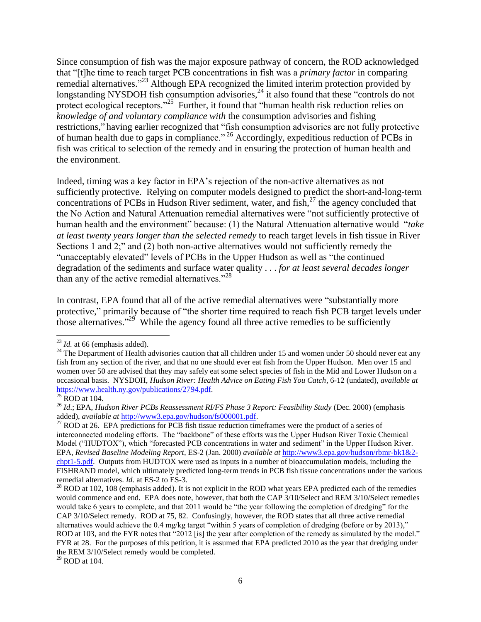Since consumption of fish was the major exposure pathway of concern, the ROD acknowledged that "[t]he time to reach target PCB concentrations in fish was a *primary factor* in comparing remedial alternatives."<sup>23</sup> Although EPA recognized the limited interim protection provided by longstanding NYSDOH fish consumption advisories, $^{24}$  it also found that these "controls do not protect ecological receptors."<sup>25</sup> Further, it found that "human health risk reduction relies on *knowledge of and voluntary compliance with* the consumption advisories and fishing restrictions," having earlier recognized that "fish consumption advisories are not fully protective of human health due to gaps in compliance." <sup>26</sup> Accordingly, expeditious reduction of PCBs in fish was critical to selection of the remedy and in ensuring the protection of human health and the environment.

Indeed, timing was a key factor in EPA's rejection of the non-active alternatives as not sufficiently protective. Relying on computer models designed to predict the short-and-long-term concentrations of PCBs in Hudson River sediment, water, and fish, <sup>27</sup> the agency concluded that the No Action and Natural Attenuation remedial alternatives were "not sufficiently protective of human health and the environment" because: (1) the Natural Attenuation alternative would "*take at least twenty years longer than the selected remedy* to reach target levels in fish tissue in River Sections 1 and 2;" and (2) both non-active alternatives would not sufficiently remedy the "unacceptably elevated" levels of PCBs in the Upper Hudson as well as "the continued degradation of the sediments and surface water quality . . . *for at least several decades longer* than any of the active remedial alternatives."<sup>28</sup>

In contrast, EPA found that all of the active remedial alternatives were "substantially more protective," primarily because of "the shorter time required to reach fish PCB target levels under those alternatives.<sup> $29$ </sup> While the agency found all three active remedies to be sufficiently

 $\overline{\phantom{a}}$ 

 $^{29}$  ROD at 104.

<sup>&</sup>lt;sup>23</sup> *Id.* at 66 (emphasis added).

<sup>&</sup>lt;sup>24</sup> The Department of Health advisories caution that all children under 15 and women under 50 should never eat any fish from any section of the river, and that no one should ever eat fish from the Upper Hudson. Men over 15 and women over 50 are advised that they may safely eat some select species of fish in the Mid and Lower Hudson on a occasional basis. NYSDOH, *Hudson River: Health Advice on Eating Fish You Catch*, 6-12 (undated), *available at* [https://www.health.ny.gov/publications/2794.pdf.](https://www.health.ny.gov/publications/2794.pdf)

 $25$  ROD at 104.

<sup>26</sup> *Id*.; EPA, *Hudson River PCBs Reassessment RI/FS Phase 3 Report: Feasibility Study* (Dec. 2000) (emphasis added), *available at* [http://www3.epa.gov/hudson/fs000001.pdf.](http://www3.epa.gov/hudson/fs000001.pdf)

<sup>&</sup>lt;sup>27</sup> ROD at 26. EPA predictions for PCB fish tissue reduction timeframes were the product of a series of interconnected modeling efforts. The "backbone" of these efforts was the Upper Hudson River Toxic Chemical Model ("HUDTOX"), which "forecasted PCB concentrations in water and sediment" in the Upper Hudson River. EPA, *Revised Baseline Modeling Report*, ES-2 (Jan. 2000) *available at* [http://www3.epa.gov/hudson/rbmr-bk1&2](http://www3.epa.gov/hudson/rbmr-bk1&2-chpt1-5.pdf) [chpt1-5.pdf.](http://www3.epa.gov/hudson/rbmr-bk1&2-chpt1-5.pdf) Outputs from HUDTOX were used as inputs in a number of bioaccumulation models, including the FISHRAND model, which ultimately predicted long-term trends in PCB fish tissue concentrations under the various remedial alternatives. *Id.* at ES-2 to ES-3.

 $^{28}$  ROD at 102, 108 (emphasis added). It is not explicit in the ROD what years EPA predicted each of the remedies would commence and end. EPA does note, however, that both the CAP 3/10/Select and REM 3/10/Select remedies would take 6 years to complete, and that 2011 would be "the year following the completion of dredging" for the CAP 3/10/Select remedy. ROD at 75, 82. Confusingly, however, the ROD states that all three active remedial alternatives would achieve the 0.4 mg/kg target "within 5 years of completion of dredging (before or by 2013)," ROD at 103, and the FYR notes that "2012 [is] the year after completion of the remedy as simulated by the model." FYR at 28. For the purposes of this petition, it is assumed that EPA predicted 2010 as the year that dredging under the REM 3/10/Select remedy would be completed.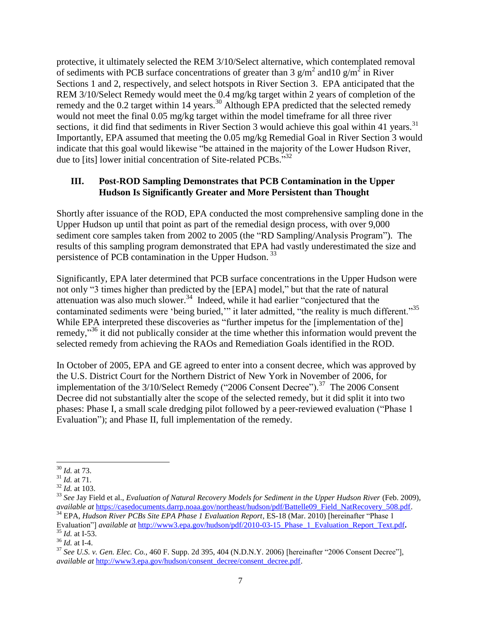protective, it ultimately selected the REM 3/10/Select alternative, which contemplated removal of sediments with PCB surface concentrations of greater than 3  $g/m^2$  and 10  $g/m^2$  in River Sections 1 and 2, respectively, and select hotspots in River Section 3. EPA anticipated that the REM 3/10/Select Remedy would meet the 0.4 mg/kg target within 2 years of completion of the remedy and the 0.2 target within 14 years.<sup>30</sup> Although EPA predicted that the selected remedy would not meet the final 0.05 mg/kg target within the model timeframe for all three river sections, it did find that sediments in River Section 3 would achieve this goal within 41 years.  $31$ Importantly, EPA assumed that meeting the 0.05 mg/kg Remedial Goal in River Section 3 would indicate that this goal would likewise "be attained in the majority of the Lower Hudson River, due to [its] lower initial concentration of Site-related PCBs."32

### **III. Post-ROD Sampling Demonstrates that PCB Contamination in the Upper Hudson Is Significantly Greater and More Persistent than Thought**

Shortly after issuance of the ROD, EPA conducted the most comprehensive sampling done in the Upper Hudson up until that point as part of the remedial design process, with over 9,000 sediment core samples taken from 2002 to 2005 (the "RD Sampling/Analysis Program"). The results of this sampling program demonstrated that EPA had vastly underestimated the size and persistence of PCB contamination in the Upper Hudson.<sup>33</sup>

Significantly, EPA later determined that PCB surface concentrations in the Upper Hudson were not only "3 times higher than predicted by the [EPA] model," but that the rate of natural attenuation was also much slower.<sup>34</sup> Indeed, while it had earlier "conjectured that the contaminated sediments were 'being buried," it later admitted, "the reality is much different."<sup>35</sup> While EPA interpreted these discoveries as "further impetus for the [implementation of the] remedy,"<sup>36</sup> it did not publically consider at the time whether this information would prevent the selected remedy from achieving the RAOs and Remediation Goals identified in the ROD.

In October of 2005, EPA and GE agreed to enter into a consent decree, which was approved by the U.S. District Court for the Northern District of New York in November of 2006, for implementation of the  $3/10$ /Select Remedy ("2006 Consent Decree").<sup>37</sup> The 2006 Consent Decree did not substantially alter the scope of the selected remedy, but it did split it into two phases: Phase I, a small scale dredging pilot followed by a peer-reviewed evaluation ("Phase 1 Evaluation"); and Phase II, full implementation of the remedy.

l <sup>30</sup> *Id.* at 73.

<sup>31</sup> *Id.* at 71.

 $32 \overline{1d}$ . at 103.

<sup>33</sup> *See* Jay Field et al., *Evaluation of Natural Recovery Models for Sediment in the Upper Hudson River* (Feb. 2009), *available at* [https://casedocuments.darrp.noaa.gov/northeast/hudson/pdf/Battelle09\\_Field\\_NatRecovery\\_508.pdf.](https://casedocuments.darrp.noaa.gov/northeast/hudson/pdf/Battelle09_Field_NatRecovery_508.pdf) <sup>34</sup> EPA, *Hudson River PCBs Site EPA Phase 1 Evaluation Report*, ES-18 (Mar. 2010) [hereinafter "Phase 1

Evaluation"] *available at* [http://www3.epa.gov/hudson/pdf/2010-03-15\\_Phase\\_1\\_Evaluation\\_Report\\_Text.pdf](http://www3.epa.gov/hudson/pdf/2010-03-15_Phase_1_Evaluation_Report_Text.pdf). <sup>35</sup> *Id.* at I-53.

<sup>36</sup> *Id.* at I-4.

<sup>37</sup> *See U.S. v. Gen. Elec. Co.*, 460 F. Supp. 2d 395, 404 (N.D.N.Y. 2006) [hereinafter "2006 Consent Decree"], *available at* [http://www3.epa.gov/hudson/consent\\_decree/consent\\_decree.pdf.](http://www3.epa.gov/hudson/consent_decree/consent_decree.pdf)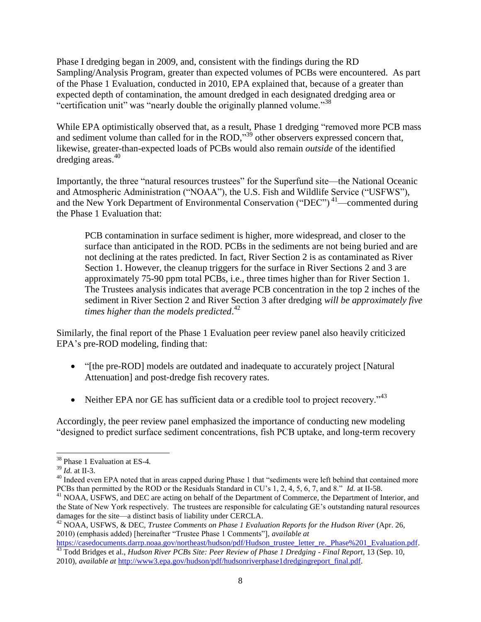Phase I dredging began in 2009, and, consistent with the findings during the RD Sampling/Analysis Program, greater than expected volumes of PCBs were encountered. As part of the Phase 1 Evaluation, conducted in 2010, EPA explained that, because of a greater than expected depth of contamination, the amount dredged in each designated dredging area or "certification unit" was "nearly double the originally planned volume."<sup>38</sup>

While EPA optimistically observed that, as a result, Phase 1 dredging "removed more PCB mass and sediment volume than called for in the ROD,"<sup>39</sup> other observers expressed concern that, likewise, greater-than-expected loads of PCBs would also remain *outside* of the identified dredging areas. 40

Importantly, the three "natural resources trustees" for the Superfund site—the National Oceanic and Atmospheric Administration ("NOAA"), the U.S. Fish and Wildlife Service ("USFWS"), and the New York Department of Environmental Conservation ("DEC")<sup>41</sup>—commented during the Phase 1 Evaluation that:

PCB contamination in surface sediment is higher, more widespread, and closer to the surface than anticipated in the ROD. PCBs in the sediments are not being buried and are not declining at the rates predicted. In fact, River Section 2 is as contaminated as River Section 1. However, the cleanup triggers for the surface in River Sections 2 and 3 are approximately 75-90 ppm total PCBs, i.e., three times higher than for River Section 1. The Trustees analysis indicates that average PCB concentration in the top 2 inches of the sediment in River Section 2 and River Section 3 after dredging *will be approximately five times higher than the models predicted*. 42

Similarly, the final report of the Phase 1 Evaluation peer review panel also heavily criticized EPA's pre-ROD modeling, finding that:

- "[the pre-ROD] models are outdated and inadequate to accurately project [Natural] Attenuation] and post-dredge fish recovery rates.
- Neither EPA nor GE has sufficient data or a credible tool to project recovery." $43$

Accordingly, the peer review panel emphasized the importance of conducting new modeling "designed to predict surface sediment concentrations, fish PCB uptake, and long-term recovery

l

<sup>38</sup> Phase 1 Evaluation at ES-4*.*

<sup>39</sup> *Id.* at II-3.

<sup>&</sup>lt;sup>40</sup> Indeed even EPA noted that in areas capped during Phase 1 that "sediments were left behind that contained more PCBs than permitted by the ROD or the Residuals Standard in CU's 1, 2, 4, 5, 6, 7, and 8." *Id.* at II-58.

<sup>&</sup>lt;sup>41</sup> NOAA, USFWS, and DEC are acting on behalf of the Department of Commerce, the Department of Interior, and the State of New York respectively. The trustees are responsible for calculating GE's outstanding natural resources damages for the site—a distinct basis of liability under CERCLA.

<sup>42</sup> NOAA, USFWS, & DEC, *Trustee Comments on Phase 1 Evaluation Reports for the Hudson River* (Apr. 26, 2010) (emphasis added) [hereinafter "Trustee Phase 1 Comments"], *available at* 

[https://casedocuments.darrp.noaa.gov/northeast/hudson/pdf/Hudson\\_trustee\\_letter\\_re.\\_Phase%201\\_Evaluation.pdf.](https://casedocuments.darrp.noaa.gov/northeast/hudson/pdf/Hudson_trustee_letter_re._Phase%201_Evaluation.pdf) <sup>43</sup> Todd Bridges et al., *Hudson River PCBs Site: Peer Review of Phase 1 Dredging - Final Report*, 13 (Sep. 10,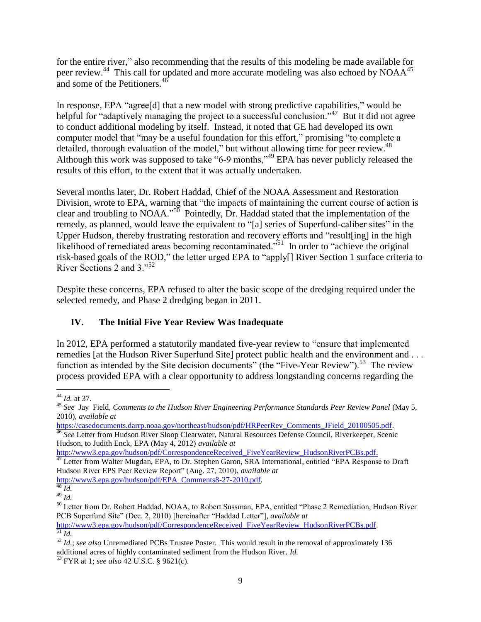for the entire river," also recommending that the results of this modeling be made available for peer review.<sup>44</sup> This call for updated and more accurate modeling was also echoed by NOAA<sup>45</sup> and some of the Petitioners.<sup>46</sup>

In response, EPA "agree<sup>[d]</sup> that a new model with strong predictive capabilities," would be helpful for "adaptively managing the project to a successful conclusion."<sup>47</sup> But it did not agree to conduct additional modeling by itself. Instead, it noted that GE had developed its own computer model that "may be a useful foundation for this effort," promising "to complete a detailed, thorough evaluation of the model," but without allowing time for peer review.<sup>48</sup> Although this work was supposed to take "6-9 months,"<sup>49</sup> EPA has never publicly released the results of this effort, to the extent that it was actually undertaken.

Several months later, Dr. Robert Haddad, Chief of the NOAA Assessment and Restoration Division, wrote to EPA, warning that "the impacts of maintaining the current course of action is clear and troubling to NOAA."<sup>50</sup> Pointedly, Dr. Haddad stated that the implementation of the remedy, as planned, would leave the equivalent to "[a] series of Superfund-caliber sites" in the Upper Hudson, thereby frustrating restoration and recovery efforts and "result[ing] in the high likelihood of remediated areas becoming recontaminated.<sup>551</sup> In order to "achieve the original risk-based goals of the ROD," the letter urged EPA to "apply[] River Section 1 surface criteria to River Sections 2 and 3."<sup>52</sup>

Despite these concerns, EPA refused to alter the basic scope of the dredging required under the selected remedy, and Phase 2 dredging began in 2011.

# **IV. The Initial Five Year Review Was Inadequate**

In 2012, EPA performed a statutorily mandated five-year review to "ensure that implemented remedies [at the Hudson River Superfund Site] protect public health and the environment and ... function as intended by the Site decision documents" (the "Five-Year Review").<sup>53</sup> The review process provided EPA with a clear opportunity to address longstanding concerns regarding the

[http://www3.epa.gov/hudson/pdf/EPA\\_Comments8-27-2010.pdf](http://www3.epa.gov/hudson/pdf/EPA_Comments8-27-2010.pdf)*.*

 $\overline{a}$ <sup>44</sup> *Id.* at 37.

<sup>45</sup> *See* Jay Field, *Comments to the Hudson River Engineering Performance Standards Peer Review Panel* (May 5, 2010), *available at*

[https://casedocuments.darrp.noaa.gov/northeast/hudson/pdf/HRPeerRev\\_Comments\\_JField\\_20100505.pdf.](https://casedocuments.darrp.noaa.gov/northeast/hudson/pdf/HRPeerRev_Comments_JField_20100505.pdf)

<sup>46</sup> *See* Letter from Hudson River Sloop Clearwater, Natural Resources Defense Council, Riverkeeper, Scenic Hudson, to Judith Enck, EPA (May 4, 2012) *available at*

[http://www3.epa.gov/hudson/pdf/CorrespondenceReceived\\_FiveYearReview\\_HudsonRiverPCBs.pdf.](http://www3.epa.gov/hudson/pdf/CorrespondenceReceived_FiveYearReview_HudsonRiverPCBs.pdf)

 $^{47}$  Letter from Walter Mugdan, EPA, to Dr. Stephen Garon, SRA International, entitled "EPA Response to Draft Hudson River EPS Peer Review Report" (Aug. 27, 2010), *available at* 

<sup>48</sup> *Id.*

 $^{49}$   $\frac{1}{d}$ .

<sup>&</sup>lt;sup>50</sup> Letter from Dr. Robert Haddad, NOAA, to Robert Sussman, EPA, entitled "Phase 2 Remediation, Hudson River PCB Superfund Site" (Dec. 2, 2010) [hereinafter "Haddad Letter"], *available at* 

[http://www3.epa.gov/hudson/pdf/CorrespondenceReceived\\_FiveYearReview\\_HudsonRiverPCBs.pdf.](http://www3.epa.gov/hudson/pdf/CorrespondenceReceived_FiveYearReview_HudsonRiverPCBs.pdf) <sup>51</sup> *Id.*

<sup>52</sup> *Id.*; *see also* Unremediated PCBs Trustee Poster. This would result in the removal of approximately 136 additional acres of highly contaminated sediment from the Hudson River. *Id.*

<sup>53</sup> FYR at 1; *see also* 42 U.S.C. § 9621(c).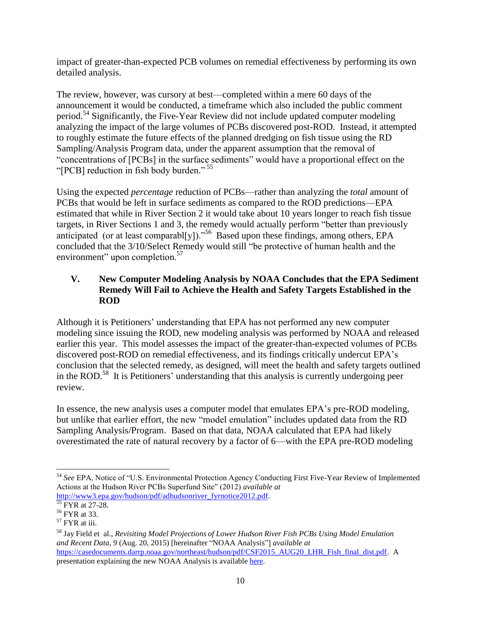impact of greater-than-expected PCB volumes on remedial effectiveness by performing its own detailed analysis.

The review, however, was cursory at best—completed within a mere 60 days of the announcement it would be conducted, a timeframe which also included the public comment period.<sup>54</sup> Significantly, the Five-Year Review did not include updated computer modeling analyzing the impact of the large volumes of PCBs discovered post-ROD. Instead, it attempted to roughly estimate the future effects of the planned dredging on fish tissue using the RD Sampling/Analysis Program data, under the apparent assumption that the removal of "concentrations of [PCBs] in the surface sediments" would have a proportional effect on the "[PCB] reduction in fish body burden."<sup>55</sup>

Using the expected *percentage* reduction of PCBs—rather than analyzing the *total* amount of PCBs that would be left in surface sediments as compared to the ROD predictions—EPA estimated that while in River Section 2 it would take about 10 years longer to reach fish tissue targets, in River Sections 1 and 3, the remedy would actually perform "better than previously anticipated (or at least comparabl[y])."<sup>56</sup> Based upon these findings, among others, EPA concluded that the 3/10/Select Remedy would still "be protective of human health and the environment" upon completion.<sup>57</sup>

## **V. New Computer Modeling Analysis by NOAA Concludes that the EPA Sediment Remedy Will Fail to Achieve the Health and Safety Targets Established in the ROD**

Although it is Petitioners' understanding that EPA has not performed any new computer modeling since issuing the ROD, new modeling analysis was performed by NOAA and released earlier this year. This model assesses the impact of the greater-than-expected volumes of PCBs discovered post-ROD on remedial effectiveness, and its findings critically undercut EPA's conclusion that the selected remedy, as designed, will meet the health and safety targets outlined in the ROD.<sup>58</sup> It is Petitioners' understanding that this analysis is currently undergoing peer review.

In essence, the new analysis uses a computer model that emulates EPA's pre-ROD modeling, but unlike that earlier effort, the new "model emulation" includes updated data from the RD Sampling Analysis/Program. Based on that data, NOAA calculated that EPA had likely overestimated the rate of natural recovery by a factor of 6—with the EPA pre-ROD modeling

<sup>54</sup> *See* EPA, Notice of "U.S. Environmental Protection Agency Conducting First Five-Year Review of Implemented Actions at the Hudson River PCBs Superfund Site" (2012) *available at* [http://www3.epa.gov/hudson/pdf/adhudsonriver\\_fyrnotice2012.pdf.](http://www3.epa.gov/hudson/pdf/adhudsonriver_fyrnotice2012.pdf)

<sup>&</sup>lt;sup>55</sup> FYR at 27-28.

<sup>56</sup> FYR at 33.

 $57$  FYR at iii.

<sup>58</sup> Jay Field et al., *Revisiting Model Projections of Lower Hudson River Fish PCBs Using Model Emulation and Recent Data*, 9 (Aug. 20, 2015) [hereinafter "NOAA Analysis"] *available at*  [https://casedocuments.darrp.noaa.gov/northeast/hudson/pdf/CSF2015\\_AUG20\\_LHR\\_Fish\\_final\\_dist.pdf.](https://casedocuments.darrp.noaa.gov/northeast/hudson/pdf/CSF2015_AUG20_LHR_Fish_final_dist.pdf) A presentation explaining the new NOAA Analysis is available [here.](https://vimeo.com/128398209)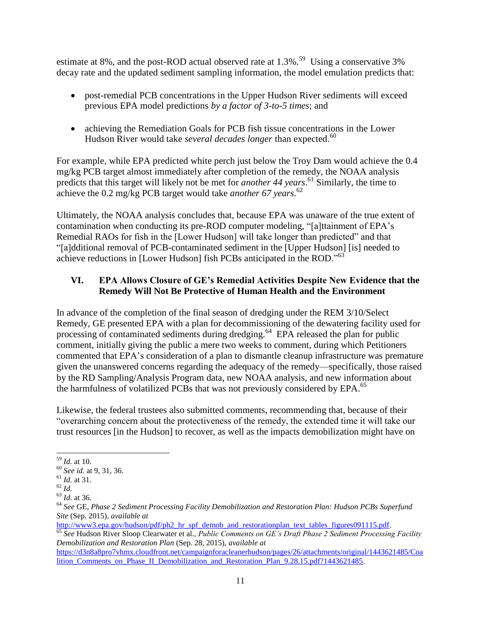estimate at 8%, and the post-ROD actual observed rate at  $1.3\%$ .<sup>59</sup> Using a conservative 3% decay rate and the updated sediment sampling information, the model emulation predicts that:

- post-remedial PCB concentrations in the Upper Hudson River sediments will exceed previous EPA model predictions *by a factor of 3-to-5 times*; and
- achieving the Remediation Goals for PCB fish tissue concentrations in the Lower Hudson River would take *several decades longer* than expected.<sup>60</sup>

For example, while EPA predicted white perch just below the Troy Dam would achieve the 0.4 mg/kg PCB target almost immediately after completion of the remedy, the NOAA analysis predicts that this target will likely not be met for *another 44 years*. <sup>61</sup> Similarly, the time to achieve the 0.2 mg/kg PCB target would take *another 67 years*. 62

Ultimately, the NOAA analysis concludes that, because EPA was unaware of the true extent of contamination when conducting its pre-ROD computer modeling, "[a]ttainment of EPA's Remedial RAOs for fish in the [Lower Hudson] will take longer than predicted" and that "[a]dditional removal of PCB-contaminated sediment in the [Upper Hudson] [is] needed to achieve reductions in [Lower Hudson] fish PCBs anticipated in the ROD."<sup>63</sup>

# **VI. EPA Allows Closure of GE's Remedial Activities Despite New Evidence that the Remedy Will Not Be Protective of Human Health and the Environment**

In advance of the completion of the final season of dredging under the REM 3/10/Select Remedy, GE presented EPA with a plan for decommissioning of the dewatering facility used for processing of contaminated sediments during dredging.<sup>64</sup> EPA released the plan for public comment, initially giving the public a mere two weeks to comment, during which Petitioners commented that EPA's consideration of a plan to dismantle cleanup infrastructure was premature given the unanswered concerns regarding the adequacy of the remedy—specifically, those raised by the RD Sampling/Analysis Program data, new NOAA analysis, and new information about the harmfulness of volatilized PCBs that was not previously considered by EPA.<sup>65</sup>

Likewise, the federal trustees also submitted comments, recommending that, because of their "overarching concern about the protectiveness of the remedy, the extended time it will take our trust resources [in the Hudson] to recover, as well as the impacts demobilization might have on

[http://www3.epa.gov/hudson/pdf/ph2\\_hr\\_spf\\_demob\\_and\\_restorationplan\\_text\\_tables\\_figures091115.pdf.](http://www3.epa.gov/hudson/pdf/ph2_hr_spf_demob_and_restorationplan_text_tables_figures091115.pdf)

<sup>65</sup> *See* Hudson River Sloop Clearwater et al., *Public Comments on GE's Draft Phase 2 Sediment Processing Facility Demobilization and Restoration Plan* (Sep. 28, 2015), *available at*

[https://d3n8a8pro7vhmx.cloudfront.net/campaignforacleanerhudson/pages/26/attachments/original/1443621485/Coa](https://d3n8a8pro7vhmx.cloudfront.net/campaignforacleanerhudson/pages/26/attachments/original/1443621485/Coalition_Comments_on_Phase_II_Demobilization_and_Restoration_Plan_9.28.15.pdf?1443621485) lition Comments on Phase II Demobilization and Restoration Plan 9.28.15.pdf?1443621485.

l <sup>59</sup> *Id.* at 10.

<sup>60</sup> *See id.* at 9, 31, 36.

<sup>61</sup> *Id.* at 31.

 $62$   $\overline{Id}$ .

<sup>63</sup> *Id.* at 36.

<sup>64</sup> *See* GE, *Phase 2 Sediment Processing Facility Demobilization and Restoration Plan: Hudson PCBs Superfund Site* (Sep. 2015), *available at*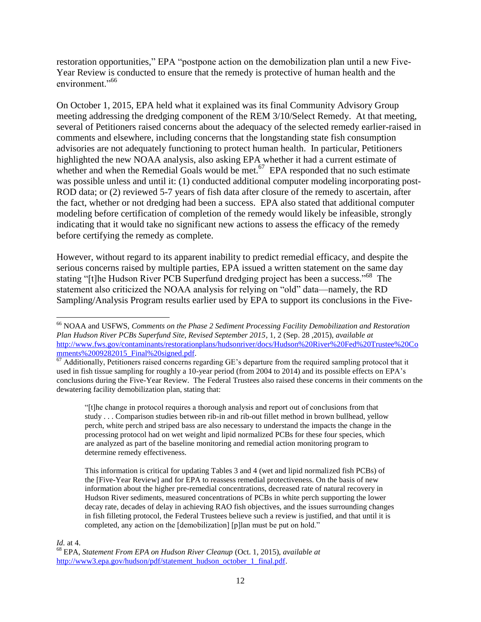restoration opportunities," EPA "postpone action on the demobilization plan until a new Five-Year Review is conducted to ensure that the remedy is protective of human health and the environment."<sup>66</sup>

On October 1, 2015, EPA held what it explained was its final Community Advisory Group meeting addressing the dredging component of the REM 3/10/Select Remedy. At that meeting, several of Petitioners raised concerns about the adequacy of the selected remedy earlier-raised in comments and elsewhere, including concerns that the longstanding state fish consumption advisories are not adequately functioning to protect human health. In particular, Petitioners highlighted the new NOAA analysis, also asking EPA whether it had a current estimate of whether and when the Remedial Goals would be met. $67$  EPA responded that no such estimate was possible unless and until it: (1) conducted additional computer modeling incorporating post-ROD data; or (2) reviewed 5-7 years of fish data after closure of the remedy to ascertain, after the fact, whether or not dredging had been a success. EPA also stated that additional computer modeling before certification of completion of the remedy would likely be infeasible, strongly indicating that it would take no significant new actions to assess the efficacy of the remedy before certifying the remedy as complete.

However, without regard to its apparent inability to predict remedial efficacy, and despite the serious concerns raised by multiple parties, EPA issued a written statement on the same day stating "[t]he Hudson River PCB Superfund dredging project has been a success."<sup>68</sup> The statement also criticized the NOAA analysis for relying on "old" data—namely, the RD Sampling/Analysis Program results earlier used by EPA to support its conclusions in the Five-

"[t]he change in protocol requires a thorough analysis and report out of conclusions from that study . . . Comparison studies between rib-in and rib-out fillet method in brown bullhead, yellow perch, white perch and striped bass are also necessary to understand the impacts the change in the processing protocol had on wet weight and lipid normalized PCBs for these four species, which are analyzed as part of the baseline monitoring and remedial action monitoring program to determine remedy effectiveness.

This information is critical for updating Tables 3 and 4 (wet and lipid normalized fish PCBs) of the [Five-Year Review] and for EPA to reassess remedial protectiveness. On the basis of new information about the higher pre-remedial concentrations, decreased rate of natural recovery in Hudson River sediments, measured concentrations of PCBs in white perch supporting the lower decay rate, decades of delay in achieving RAO fish objectives, and the issues surrounding changes in fish filleting protocol, the Federal Trustees believe such a review is justified, and that until it is completed, any action on the [demobilization] [p]lan must be put on hold."

#### *Id.* at 4.

l

<sup>66</sup> NOAA and USFWS, *Comments on the Phase 2 Sediment Processing Facility Demobilization and Restoration Plan Hudson River PCBs Superfund Site, Revised September 2015*, 1, 2 (Sep. 28 ,2015), *available at* [http://www.fws.gov/contaminants/restorationplans/hudsonriver/docs/Hudson%20River%20Fed%20Trustee%20Co](http://www.fws.gov/contaminants/restorationplans/hudsonriver/docs/Hudson%20River%20Fed%20Trustee%20Comments%2009282015_Final%20signed.pdf) [mments%2009282015\\_Final%20signed.pdf.](http://www.fws.gov/contaminants/restorationplans/hudsonriver/docs/Hudson%20River%20Fed%20Trustee%20Comments%2009282015_Final%20signed.pdf)

<sup>&</sup>lt;sup>67</sup> Additionally, Petitioners raised concerns regarding GE's departure from the required sampling protocol that it used in fish tissue sampling for roughly a 10-year period (from 2004 to 2014) and its possible effects on EPA's conclusions during the Five-Year Review. The Federal Trustees also raised these concerns in their comments on the dewatering facility demobilization plan, stating that:

<sup>68</sup> EPA, *Statement From EPA on Hudson River Cleanup* (Oct. 1, 2015), *available at* http://www3.epa.gov/hudson/pdf/statement\_hudson\_october\_1\_final.pdf.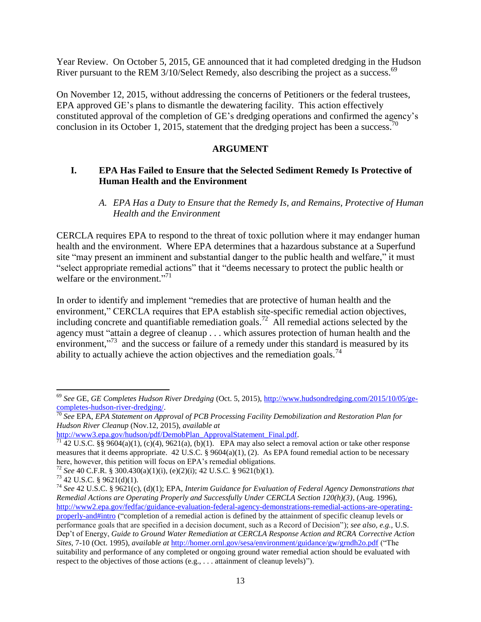Year Review. On October 5, 2015, GE announced that it had completed dredging in the Hudson River pursuant to the REM 3/10/Select Remedy, also describing the project as a success.<sup>69</sup>

On November 12, 2015, without addressing the concerns of Petitioners or the federal trustees, EPA approved GE's plans to dismantle the dewatering facility. This action effectively constituted approval of the completion of GE's dredging operations and confirmed the agency's conclusion in its October 1, 2015, statement that the dredging project has been a success.<sup>70</sup>

## **ARGUMENT**

## **I. EPA Has Failed to Ensure that the Selected Sediment Remedy Is Protective of Human Health and the Environment**

### *A. EPA Has a Duty to Ensure that the Remedy Is, and Remains, Protective of Human Health and the Environment*

CERCLA requires EPA to respond to the threat of toxic pollution where it may endanger human health and the environment. Where EPA determines that a hazardous substance at a Superfund site "may present an imminent and substantial danger to the public health and welfare," it must "select appropriate remedial actions" that it "deems necessary to protect the public health or welfare or the environment."<sup>71</sup>

In order to identify and implement "remedies that are protective of human health and the environment," CERCLA requires that EPA establish site-specific remedial action objectives, including concrete and quantifiable remediation goals.<sup>72</sup> All remedial actions selected by the agency must "attain a degree of cleanup . . . which assures protection of human health and the environment,"<sup>73</sup> and the success or failure of a remedy under this standard is measured by its ability to actually achieve the action objectives and the remediation goals.<sup>74</sup>

 $\overline{a}$ <sup>69</sup> *See* GE, *GE Completes Hudson River Dredging* (Oct. 5, 2015), [http://www.hudsondredging.com/2015/10/05/ge](http://www.hudsondredging.com/2015/10/05/ge-completes-hudson-river-dredging/)[completes-hudson-river-dredging/.](http://www.hudsondredging.com/2015/10/05/ge-completes-hudson-river-dredging/)

<sup>70</sup> *See* EPA, *EPA Statement on Approval of PCB Processing Facility Demobilization and Restoration Plan for Hudson River Cleanup* (Nov.12, 2015), *available at*

http://www3.epa.gov/hudson/pdf/DemobPlan\_ApprovalStatement\_Final.pdf.

 $^{71}$  42 U.S.C. §§ 9604(a)(1), (c)(4), 9621(a), (b)(1). EPA may also select a removal action or take other response measures that it deems appropriate.  $42 \text{ U.S.C.} \$   $9604(a)(1)$ , (2). As EPA found remedial action to be necessary here, however, this petition will focus on EPA's remedial obligations.

<sup>72</sup> *See* 40 C.F.R. § 300.430(a)(1)(i), (e)(2)(i); 42 U.S.C. § 9621(b)(1).

 $73$  42 U.S.C. § 9621(d)(1).

<sup>74</sup> *See* 42 U.S.C. § 9621(c), (d)(1); EPA, *Interim Guidance for Evaluation of Federal Agency Demonstrations that Remedial Actions are Operating Properly and Successfully Under CERCLA Section 120(h)(3)*, (Aug. 1996), [http://www2.epa.gov/fedfac/guidance-evaluation-federal-agency-demonstrations-remedial-actions-are-operating](http://www2.epa.gov/fedfac/guidance-evaluation-federal-agency-demonstrations-remedial-actions-are-operating-properly-and#intro)[properly-and#intro](http://www2.epa.gov/fedfac/guidance-evaluation-federal-agency-demonstrations-remedial-actions-are-operating-properly-and#intro) ("completion of a remedial action is defined by the attainment of specific cleanup levels or performance goals that are specified in a decision document, such as a Record of Decision"); *see also, e.g.,* U.S. Dep't of Energy, *Guide to Ground Water Remediation at CERCLA Response Action and RCRA Corrective Action Sites*, 7-10 (Oct. 1995), *available at* <http://homer.ornl.gov/sesa/environment/guidance/gw/grndh2o.pdf> ("The suitability and performance of any completed or ongoing ground water remedial action should be evaluated with respect to the objectives of those actions (e.g., . . . attainment of cleanup levels)").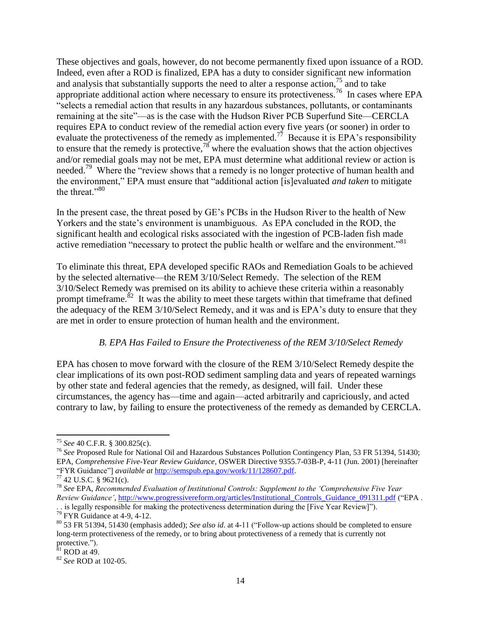These objectives and goals, however, do not become permanently fixed upon issuance of a ROD. Indeed, even after a ROD is finalized, EPA has a duty to consider significant new information and analysis that substantially supports the need to alter a response action,  $75$  and to take appropriate additional action where necessary to ensure its protectiveness.<sup>76</sup> In cases where EPA "selects a remedial action that results in any hazardous substances, pollutants, or contaminants remaining at the site"—as is the case with the Hudson River PCB Superfund Site—CERCLA requires EPA to conduct review of the remedial action every five years (or sooner) in order to evaluate the protectiveness of the remedy as implemented.<sup>77</sup> Because it is EPA's responsibility to ensure that the remedy is protective, $78$  where the evaluation shows that the action objectives and/or remedial goals may not be met, EPA must determine what additional review or action is needed.<sup>79</sup> Where the "review shows that a remedy is no longer protective of human health and the environment," EPA must ensure that "additional action [is]evaluated *and taken* to mitigate the threat."<sup>80</sup>

In the present case, the threat posed by GE's PCBs in the Hudson River to the health of New Yorkers and the state's environment is unambiguous. As EPA concluded in the ROD, the significant health and ecological risks associated with the ingestion of PCB-laden fish made active remediation "necessary to protect the public health or welfare and the environment."<sup>81</sup>

To eliminate this threat, EPA developed specific RAOs and Remediation Goals to be achieved by the selected alternative—the REM 3/10/Select Remedy. The selection of the REM 3/10/Select Remedy was premised on its ability to achieve these criteria within a reasonably prompt timeframe.<sup>82</sup> It was the ability to meet these targets within that timeframe that defined the adequacy of the REM 3/10/Select Remedy, and it was and is EPA's duty to ensure that they are met in order to ensure protection of human health and the environment.

### *B. EPA Has Failed to Ensure the Protectiveness of the REM 3/10/Select Remedy*

EPA has chosen to move forward with the closure of the REM 3/10/Select Remedy despite the clear implications of its own post-ROD sediment sampling data and years of repeated warnings by other state and federal agencies that the remedy, as designed, will fail. Under these circumstances, the agency has—time and again—acted arbitrarily and capriciously, and acted contrary to law, by failing to ensure the protectiveness of the remedy as demanded by CERCLA.

l <sup>75</sup> *See* 40 C.F.R. § 300.825(c).

<sup>76</sup> *See* Proposed Rule for National Oil and Hazardous Substances Pollution Contingency Plan, 53 FR 51394, 51430; EPA, *Comprehensive Five-Year Review Guidance*, OSWER Directive 9355.7-03B-P, 4-11 (Jun. 2001) [hereinafter "FYR Guidance"] *available at* [http://semspub.epa.gov/work/11/128607.pdf.](http://semspub.epa.gov/work/11/128607.pdf)

<sup>77</sup> 42 U.S.C. § 9621(c).

<sup>78</sup> *See* EPA, *Recommended Evaluation of Institutional Controls: Supplement to the 'Comprehensive Five Year Review Guidance'*[, http://www.progressivereform.org/articles/Institutional\\_Controls\\_Guidance\\_091311.pdf](http://www.progressivereform.org/articles/Institutional_Controls_Guidance_091311.pdf) ("EPA .

<sup>. .</sup> is legally responsible for making the protectiveness determination during the [Five Year Review]").  $79$  FYR Guidance at 4-9, 4-12.

<sup>80</sup> 53 FR 51394, 51430 (emphasis added); *See also id*. at 4-11 ("Follow-up actions should be completed to ensure long-term protectiveness of the remedy, or to bring about protectiveness of a remedy that is currently not protective.").

 $^{81}$  ROD at 49.

<sup>82</sup> *See* ROD at 102-05.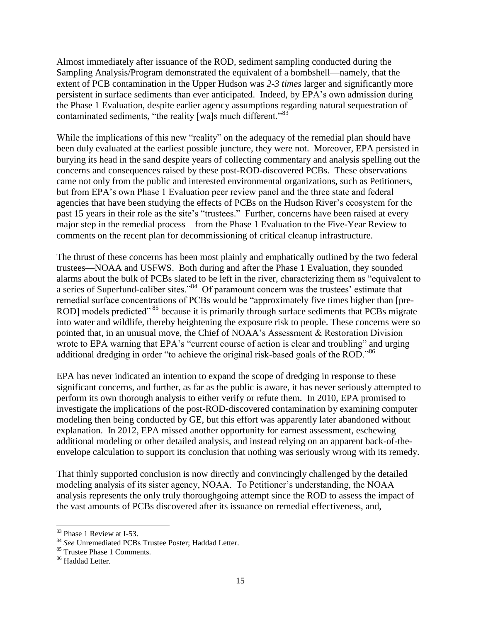Almost immediately after issuance of the ROD, sediment sampling conducted during the Sampling Analysis/Program demonstrated the equivalent of a bombshell—namely, that the extent of PCB contamination in the Upper Hudson was *2-3 times* larger and significantly more persistent in surface sediments than ever anticipated. Indeed, by EPA's own admission during the Phase 1 Evaluation, despite earlier agency assumptions regarding natural sequestration of contaminated sediments, "the reality [wa]s much different."<sup>83</sup>

While the implications of this new "reality" on the adequacy of the remedial plan should have been duly evaluated at the earliest possible juncture, they were not. Moreover, EPA persisted in burying its head in the sand despite years of collecting commentary and analysis spelling out the concerns and consequences raised by these post-ROD-discovered PCBs. These observations came not only from the public and interested environmental organizations, such as Petitioners, but from EPA's own Phase 1 Evaluation peer review panel and the three state and federal agencies that have been studying the effects of PCBs on the Hudson River's ecosystem for the past 15 years in their role as the site's "trustees." Further, concerns have been raised at every major step in the remedial process—from the Phase 1 Evaluation to the Five-Year Review to comments on the recent plan for decommissioning of critical cleanup infrastructure.

The thrust of these concerns has been most plainly and emphatically outlined by the two federal trustees—NOAA and USFWS. Both during and after the Phase 1 Evaluation, they sounded alarms about the bulk of PCBs slated to be left in the river, characterizing them as "equivalent to a series of Superfund-caliber sites."<sup>84</sup> Of paramount concern was the trustees' estimate that remedial surface concentrations of PCBs would be "approximately five times higher than [pre-ROD] models predicted"<sup>85</sup> because it is primarily through surface sediments that PCBs migrate into water and wildlife, thereby heightening the exposure risk to people. These concerns were so pointed that, in an unusual move, the Chief of NOAA's Assessment & Restoration Division wrote to EPA warning that EPA's "current course of action is clear and troubling" and urging additional dredging in order "to achieve the original risk-based goals of the ROD."<sup>86</sup>

EPA has never indicated an intention to expand the scope of dredging in response to these significant concerns, and further, as far as the public is aware, it has never seriously attempted to perform its own thorough analysis to either verify or refute them. In 2010, EPA promised to investigate the implications of the post-ROD-discovered contamination by examining computer modeling then being conducted by GE, but this effort was apparently later abandoned without explanation. In 2012, EPA missed another opportunity for earnest assessment, eschewing additional modeling or other detailed analysis, and instead relying on an apparent back-of-theenvelope calculation to support its conclusion that nothing was seriously wrong with its remedy.

That thinly supported conclusion is now directly and convincingly challenged by the detailed modeling analysis of its sister agency, NOAA. To Petitioner's understanding, the NOAA analysis represents the only truly thoroughgoing attempt since the ROD to assess the impact of the vast amounts of PCBs discovered after its issuance on remedial effectiveness, and,

<sup>83</sup> Phase 1 Review at I-53.

<sup>84</sup> *See* Unremediated PCBs Trustee Poster; Haddad Letter.

<sup>&</sup>lt;sup>85</sup> Trustee Phase 1 Comments.

<sup>86</sup> Haddad Letter.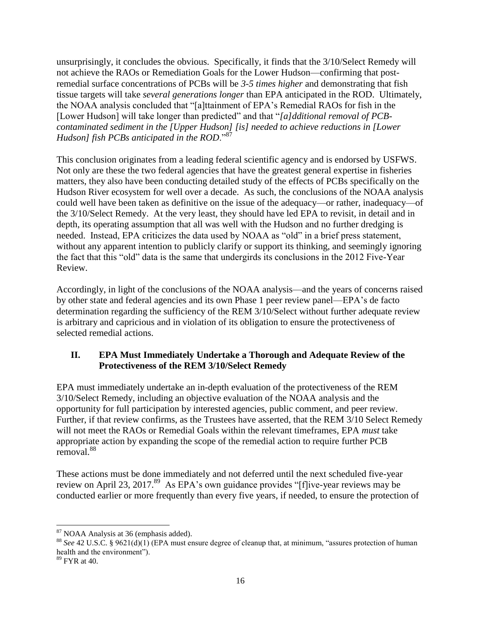unsurprisingly, it concludes the obvious. Specifically, it finds that the 3/10/Select Remedy will not achieve the RAOs or Remediation Goals for the Lower Hudson—confirming that postremedial surface concentrations of PCBs will be *3-5 times higher* and demonstrating that fish tissue targets will take *several generations longer* than EPA anticipated in the ROD. Ultimately, the NOAA analysis concluded that "[a]ttainment of EPA's Remedial RAOs for fish in the [Lower Hudson] will take longer than predicted" and that "*[a]dditional removal of PCBcontaminated sediment in the [Upper Hudson] [is] needed to achieve reductions in [Lower Hudson] fish PCBs anticipated in the ROD*."<sup>87</sup>

This conclusion originates from a leading federal scientific agency and is endorsed by USFWS. Not only are these the two federal agencies that have the greatest general expertise in fisheries matters, they also have been conducting detailed study of the effects of PCBs specifically on the Hudson River ecosystem for well over a decade. As such, the conclusions of the NOAA analysis could well have been taken as definitive on the issue of the adequacy—or rather, inadequacy—of the 3/10/Select Remedy. At the very least, they should have led EPA to revisit, in detail and in depth, its operating assumption that all was well with the Hudson and no further dredging is needed. Instead, EPA criticizes the data used by NOAA as "old" in a brief press statement, without any apparent intention to publicly clarify or support its thinking, and seemingly ignoring the fact that this "old" data is the same that undergirds its conclusions in the 2012 Five-Year Review.

Accordingly, in light of the conclusions of the NOAA analysis—and the years of concerns raised by other state and federal agencies and its own Phase 1 peer review panel—EPA's de facto determination regarding the sufficiency of the REM 3/10/Select without further adequate review is arbitrary and capricious and in violation of its obligation to ensure the protectiveness of selected remedial actions.

## **II. EPA Must Immediately Undertake a Thorough and Adequate Review of the Protectiveness of the REM 3/10/Select Remedy**

EPA must immediately undertake an in-depth evaluation of the protectiveness of the REM 3/10/Select Remedy, including an objective evaluation of the NOAA analysis and the opportunity for full participation by interested agencies, public comment, and peer review. Further, if that review confirms, as the Trustees have asserted, that the REM 3/10 Select Remedy will not meet the RAOs or Remedial Goals within the relevant timeframes, EPA *must* take appropriate action by expanding the scope of the remedial action to require further PCB removal.<sup>88</sup>

These actions must be done immediately and not deferred until the next scheduled five-year review on April 23, 2017.<sup>89</sup> As EPA's own guidance provides "[f]ive-year reviews may be conducted earlier or more frequently than every five years, if needed, to ensure the protection of

<sup>&</sup>lt;sup>87</sup> NOAA Analysis at 36 (emphasis added).

<sup>&</sup>lt;sup>88</sup> See 42 U.S.C. § 9621(d)(1) (EPA must ensure degree of cleanup that, at minimum, "assures protection of human health and the environment").

 $89$  FYR at 40.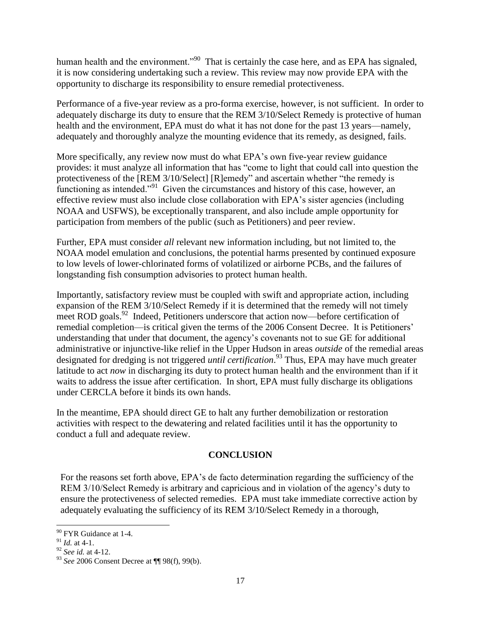human health and the environment."<sup>90</sup> That is certainly the case here, and as EPA has signaled, it is now considering undertaking such a review. This review may now provide EPA with the opportunity to discharge its responsibility to ensure remedial protectiveness.

Performance of a five-year review as a pro-forma exercise, however, is not sufficient. In order to adequately discharge its duty to ensure that the REM 3/10/Select Remedy is protective of human health and the environment, EPA must do what it has not done for the past 13 years—namely, adequately and thoroughly analyze the mounting evidence that its remedy, as designed, fails.

More specifically, any review now must do what EPA's own five-year review guidance provides: it must analyze all information that has "come to light that could call into question the protectiveness of the [REM 3/10/Select] [R]emedy" and ascertain whether "the remedy is functioning as intended."<sup>91</sup> Given the circumstances and history of this case, however, an effective review must also include close collaboration with EPA's sister agencies (including NOAA and USFWS), be exceptionally transparent, and also include ample opportunity for participation from members of the public (such as Petitioners) and peer review.

Further, EPA must consider *all* relevant new information including, but not limited to, the NOAA model emulation and conclusions, the potential harms presented by continued exposure to low levels of lower-chlorinated forms of volatilized or airborne PCBs, and the failures of longstanding fish consumption advisories to protect human health.

Importantly, satisfactory review must be coupled with swift and appropriate action, including expansion of the REM 3/10/Select Remedy if it is determined that the remedy will not timely meet ROD goals.<sup>92</sup> Indeed, Petitioners underscore that action now—before certification of remedial completion—is critical given the terms of the 2006 Consent Decree. It is Petitioners' understanding that under that document, the agency's covenants not to sue GE for additional administrative or injunctive-like relief in the Upper Hudson in areas *outside* of the remedial areas designated for dredging is not triggered *until certification*. <sup>93</sup> Thus, EPA may have much greater latitude to act *now* in discharging its duty to protect human health and the environment than if it waits to address the issue after certification. In short, EPA must fully discharge its obligations under CERCLA before it binds its own hands.

In the meantime, EPA should direct GE to halt any further demobilization or restoration activities with respect to the dewatering and related facilities until it has the opportunity to conduct a full and adequate review.

### **CONCLUSION**

For the reasons set forth above, EPA's de facto determination regarding the sufficiency of the REM 3/10/Select Remedy is arbitrary and capricious and in violation of the agency's duty to ensure the protectiveness of selected remedies. EPA must take immediate corrective action by adequately evaluating the sufficiency of its REM 3/10/Select Remedy in a thorough,

<sup>&</sup>lt;sup>90</sup> FYR Guidance at 1-4.

<sup>91</sup> *Id.* at 4-1.

<sup>92</sup> *See id.* at 4-12.

<sup>93</sup> *See* 2006 Consent Decree at ¶¶ 98(f), 99(b).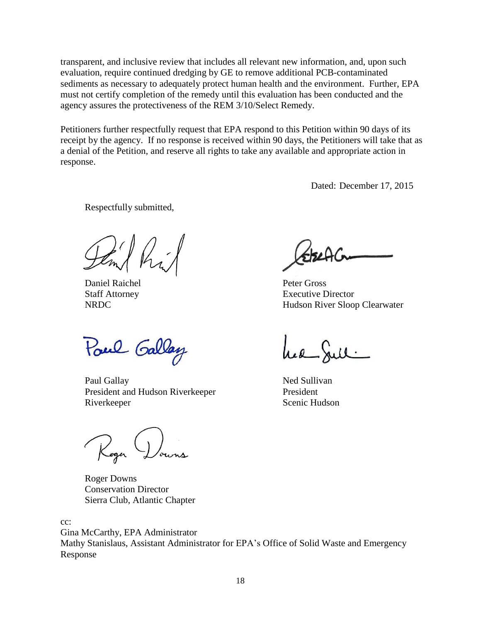transparent, and inclusive review that includes all relevant new information, and, upon such evaluation, require continued dredging by GE to remove additional PCB-contaminated sediments as necessary to adequately protect human health and the environment. Further, EPA must not certify completion of the remedy until this evaluation has been conducted and the agency assures the protectiveness of the REM 3/10/Select Remedy.

Petitioners further respectfully request that EPA respond to this Petition within 90 days of its receipt by the agency. If no response is received within 90 days, the Petitioners will take that as a denial of the Petition, and reserve all rights to take any available and appropriate action in response.

Dated: December 17, 2015

Respectfully submitted,

 $\sqrt{ }$ 

Daniel Raichel **Peter Gross** 

Poul Gallay

Paul Gallay Ned Sullivan President and Hudson Riverkeeper President Riverkeeper Scenic Hudson

Roger Downs

Roger Downs Conservation Director Sierra Club, Atlantic Chapter

cc:

Gina McCarthy, EPA Administrator Mathy Stanislaus, Assistant Administrator for EPA's Office of Solid Waste and Emergency Response

Staff Attorney Executive Director NRDC Hudson River Sloop Clearwater

hea Juli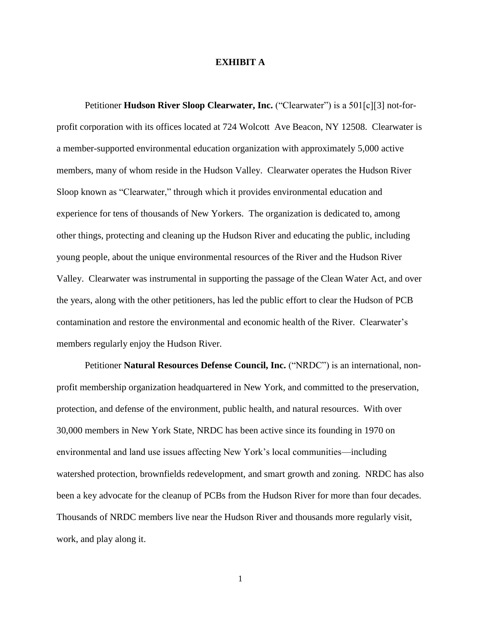#### **EXHIBIT A**

Petitioner **Hudson River Sloop Clearwater, Inc.** ("Clearwater") is a 501[c][3] not-forprofit corporation with its offices located at 724 Wolcott Ave Beacon, NY 12508. Clearwater is a member-supported environmental education organization with approximately 5,000 active members, many of whom reside in the Hudson Valley. Clearwater operates the Hudson River Sloop known as "Clearwater," through which it provides environmental education and experience for tens of thousands of New Yorkers. The organization is dedicated to, among other things, protecting and cleaning up the Hudson River and educating the public, including young people, about the unique environmental resources of the River and the Hudson River Valley. Clearwater was instrumental in supporting the passage of the Clean Water Act, and over the years, along with the other petitioners, has led the public effort to clear the Hudson of PCB contamination and restore the environmental and economic health of the River. Clearwater's members regularly enjoy the Hudson River.

Petitioner **Natural Resources Defense Council, Inc.** ("NRDC") is an international, nonprofit membership organization headquartered in New York, and committed to the preservation, protection, and defense of the environment, public health, and natural resources. With over 30,000 members in New York State, NRDC has been active since its founding in 1970 on environmental and land use issues affecting New York's local communities—including watershed protection, brownfields redevelopment, and smart growth and zoning. NRDC has also been a key advocate for the cleanup of PCBs from the Hudson River for more than four decades. Thousands of NRDC members live near the Hudson River and thousands more regularly visit, work, and play along it.

1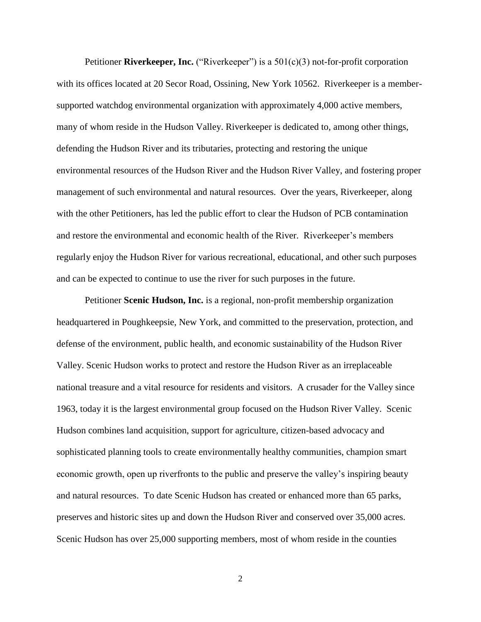Petitioner **Riverkeeper, Inc.** ("Riverkeeper") is a 501(c)(3) not-for-profit corporation with its offices located at 20 Secor Road, Ossining, New York 10562. Riverkeeper is a membersupported watchdog environmental organization with approximately 4,000 active members, many of whom reside in the Hudson Valley. Riverkeeper is dedicated to, among other things, defending the Hudson River and its tributaries, protecting and restoring the unique environmental resources of the Hudson River and the Hudson River Valley, and fostering proper management of such environmental and natural resources. Over the years, Riverkeeper, along with the other Petitioners, has led the public effort to clear the Hudson of PCB contamination and restore the environmental and economic health of the River. Riverkeeper's members regularly enjoy the Hudson River for various recreational, educational, and other such purposes and can be expected to continue to use the river for such purposes in the future.

Petitioner **Scenic Hudson, Inc.** is a regional, non-profit membership organization headquartered in Poughkeepsie, New York, and committed to the preservation, protection, and defense of the environment, public health, and economic sustainability of the Hudson River Valley. Scenic Hudson works to protect and restore the Hudson River as an irreplaceable national treasure and a vital resource for residents and visitors. A crusader for the Valley since 1963, today it is the largest environmental group focused on the Hudson River Valley. Scenic Hudson combines land acquisition, support for agriculture, citizen-based advocacy and sophisticated planning tools to create environmentally healthy communities, champion smart economic growth, open up riverfronts to the public and preserve the valley's inspiring beauty and natural resources. To date Scenic Hudson has created or enhanced more than 65 parks, preserves and historic sites up and down the Hudson River and conserved over 35,000 acres. Scenic Hudson has over 25,000 supporting members, most of whom reside in the counties

2